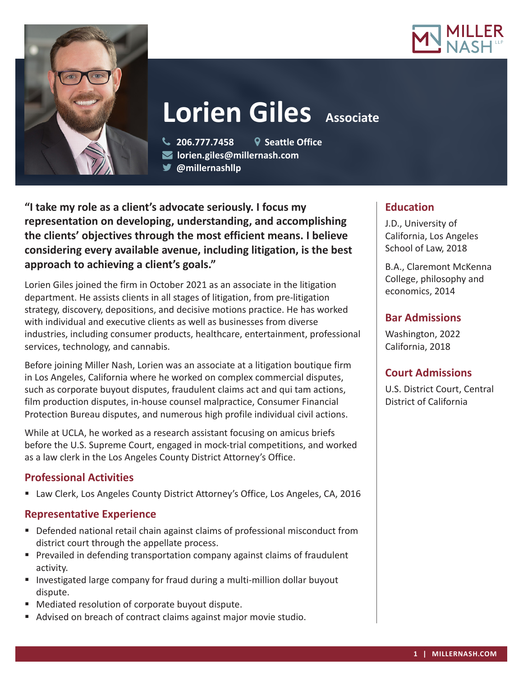



**Lorien Giles** Associate

**206.777.7458 Seattle Office**

**lorien.giles@millernash.com** 

**@millernashllp** 

**"I take my role as a client's advocate seriously. I focus my representation on developing, understanding, and accomplishing the clients' objectives through the most efficient means. I believe considering every available avenue, including litigation, is the best approach to achieving a client's goals."**

Lorien Giles joined the firm in October 2021 as an associate in the litigation department. He assists clients in all stages of litigation, from pre-litigation strategy, discovery, depositions, and decisive motions practice. He has worked with individual and executive clients as well as businesses from diverse industries, including consumer products, healthcare, entertainment, professional services, technology, and cannabis.

Before joining Miller Nash, Lorien was an associate at a litigation boutique firm in Los Angeles, California where he worked on complex commercial disputes, such as corporate buyout disputes, fraudulent claims act and qui tam actions, film production disputes, in-house counsel malpractice, Consumer Financial Protection Bureau disputes, and numerous high profile individual civil actions.

While at UCLA, he worked as a research assistant focusing on amicus briefs before the U.S. Supreme Court, engaged in mock-trial competitions, and worked as a law clerk in the Los Angeles County District Attorney's Office.

## **Professional Activities**

Law Clerk, Los Angeles County District Attorney's Office, Los Angeles, CA, 2016

## **Representative Experience**

- Defended national retail chain against claims of professional misconduct from district court through the appellate process.
- **Prevailed in defending transportation company against claims of fraudulent** activity.
- **Investigated large company for fraud during a multi-million dollar buyout** dispute.
- Mediated resolution of corporate buyout dispute.
- Advised on breach of contract claims against major movie studio.

# **Education**

J.D., University of California, Los Angeles School of Law, 2018

B.A., Claremont McKenna College, philosophy and economics, 2014

# **Bar Admissions**

Washington, 2022 California, 2018

## **Court Admissions**

U.S. District Court, Central District of California